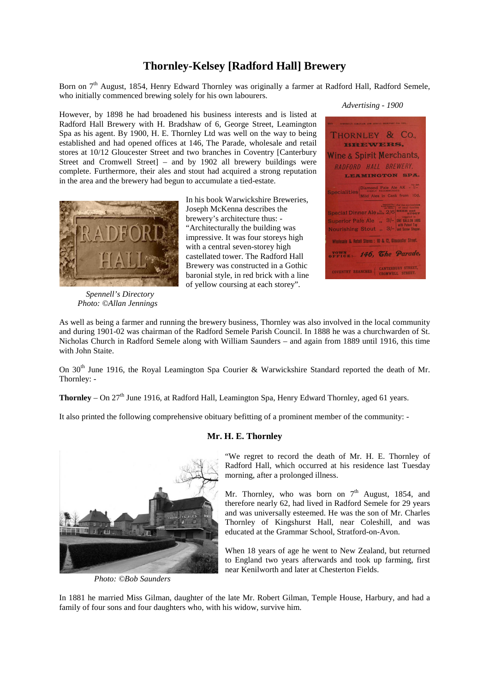# **Thornley-Kelsey [Radford Hall] Brewery**

Born on  $7<sup>th</sup>$  August, 1854, Henry Edward Thornley was originally a farmer at Radford Hall, Radford Semele, who initially commenced brewing solely for his own labourers.

However, by 1898 he had broadened his business interests and is listed at Radford Hall Brewery with H. Bradshaw of 6, George Street, Leamington Spa as his agent. By 1900, H. E. Thornley Ltd was well on the way to being established and had opened offices at 146, The Parade, wholesale and retail stores at 10/12 Gloucester Street and two branches in Coventry [Canterbury Street and Cromwell Street] – and by 1902 all brewery buildings were complete. Furthermore, their ales and stout had acquired a strong reputation in the area and the brewery had begun to accumulate a tied-estate.



 *Spennell's Directory Photo: ©Allan Jennings*

In his book Warwickshire Breweries, Joseph McKenna describes the brewery's architecture thus: - "Architecturally the building was impressive. It was four storeys high with a central seven-storey high castellated tower. The Radford Hall Brewery was constructed in a Gothic baronial style, in red brick with a line of yellow coursing at each storey".



As well as being a farmer and running the brewery business, Thornley was also involved in the local community and during 1901-02 was chairman of the Radford Semele Parish Council. In 1888 he was a churchwarden of St. Nicholas Church in Radford Semele along with William Saunders – and again from 1889 until 1916, this time with John Staite.

On 30<sup>th</sup> June 1916, the Royal Leamington Spa Courier & Warwickshire Standard reported the death of Mr. Thornley: -

**Thornley** – On 27<sup>th</sup> June 1916, at Radford Hall, Leamington Spa, Henry Edward Thornley, aged 61 years.

It also printed the following comprehensive obituary befitting of a prominent member of the community: -



*Photo: ©Bob Saunders*

## **Mr. H. E. Thornley**

"We regret to record the death of Mr. H. E. Thornley of Radford Hall, which occurred at his residence last Tuesday morning, after a prolonged illness.

Mr. Thornley, who was born on  $7<sup>th</sup>$  August, 1854, and therefore nearly 62, had lived in Radford Semele for 29 years and was universally esteemed. He was the son of Mr. Charles Thornley of Kingshurst Hall, near Coleshill, and was educated at the Grammar School, Stratford-on-Avon.

When 18 years of age he went to New Zealand, but returned to England two years afterwards and took up farming, first near Kenilworth and later at Chesterton Fields.

In 1881 he married Miss Gilman, daughter of the late Mr. Robert Gilman, Temple House, Harbury, and had a family of four sons and four daughters who, with his widow, survive him.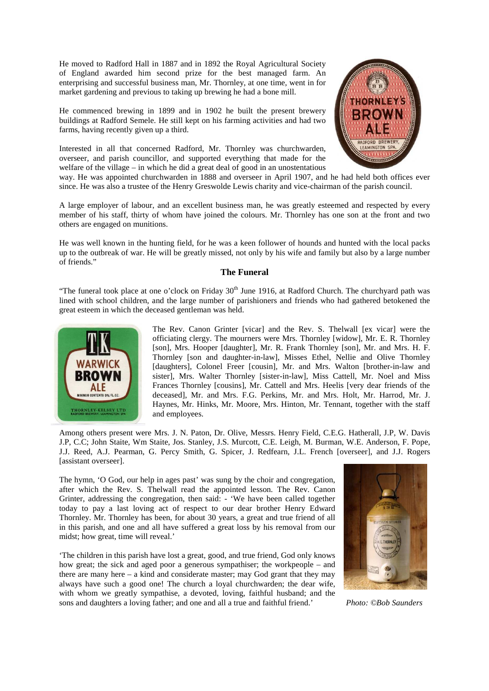He moved to Radford Hall in 1887 and in 1892 the Royal Agricultural Society of England awarded him second prize for the best managed farm. An enterprising and successful business man, Mr. Thornley, at one time, went in for market gardening and previous to taking up brewing he had a bone mill.

He commenced brewing in 1899 and in 1902 he built the present brewery buildings at Radford Semele. He still kept on his farming activities and had two farms, having recently given up a third.

Interested in all that concerned Radford, Mr. Thornley was churchwarden, overseer, and parish councillor, and supported everything that made for the welfare of the village – in which he did a great deal of good in an unostentatious



way. He was appointed churchwarden in 1888 and overseer in April 1907, and he had held both offices ever since. He was also a trustee of the Henry Greswolde Lewis charity and vice-chairman of the parish council.

A large employer of labour, and an excellent business man, he was greatly esteemed and respected by every member of his staff, thirty of whom have joined the colours. Mr. Thornley has one son at the front and two others are engaged on munitions.

He was well known in the hunting field, for he was a keen follower of hounds and hunted with the local packs up to the outbreak of war. He will be greatly missed, not only by his wife and family but also by a large number of friends."

### **The Funeral**

"The funeral took place at one o'clock on Friday  $30<sup>th</sup>$  June 1916, at Radford Church. The churchyard path was lined with school children, and the large number of parishioners and friends who had gathered betokened the great esteem in which the deceased gentleman was held.



The Rev. Canon Grinter [vicar] and the Rev. S. Thelwall [ex vicar] were the officiating clergy. The mourners were Mrs. Thornley [widow], Mr. E. R. Thornley [son], Mrs. Hooper [daughter], Mr. R. Frank Thornley [son], Mr. and Mrs. H. F. Thornley [son and daughter-in-law], Misses Ethel, Nellie and Olive Thornley [daughters], Colonel Freer [cousin], Mr. and Mrs. Walton [brother-in-law and sister], Mrs. Walter Thornley [sister-in-law], Miss Cattell, Mr. Noel and Miss Frances Thornley [cousins], Mr. Cattell and Mrs. Heelis [very dear friends of the deceased], Mr. and Mrs. F.G. Perkins, Mr. and Mrs. Holt, Mr. Harrod, Mr. J. Haynes, Mr. Hinks, Mr. Moore, Mrs. Hinton, Mr. Tennant, together with the staff and employees.

Among others present were Mrs. J. N. Paton, Dr. Olive, Messrs. Henry Field, C.E.G. Hatherall, J.P, W. Davis J.P, C.C; John Staite, Wm Staite, Jos. Stanley, J.S. Murcott, C.E. Leigh, M. Burman, W.E. Anderson, F. Pope, J.J. Reed, A.J. Pearman, G. Percy Smith, G. Spicer, J. Redfearn, J.L. French [overseer], and J.J. Rogers [assistant overseer].

The hymn, 'O God, our help in ages past' was sung by the choir and congregation, after which the Rev. S. Thelwall read the appointed lesson. The Rev. Canon Grinter, addressing the congregation, then said: - 'We have been called together today to pay a last loving act of respect to our dear brother Henry Edward Thornley. Mr. Thornley has been, for about 30 years, a great and true friend of all in this parish, and one and all have suffered a great loss by his removal from our midst; how great, time will reveal.'

'The children in this parish have lost a great, good, and true friend, God only knows how great; the sick and aged poor a generous sympathiser; the workpeople – and there are many here – a kind and considerate master; may God grant that they may always have such a good one! The church a loyal churchwarden; the dear wife, with whom we greatly sympathise, a devoted, loving, faithful husband; and the sons and daughters a loving father; and one and all a true and faithful friend.' *Photo: ©Bob Saunders*

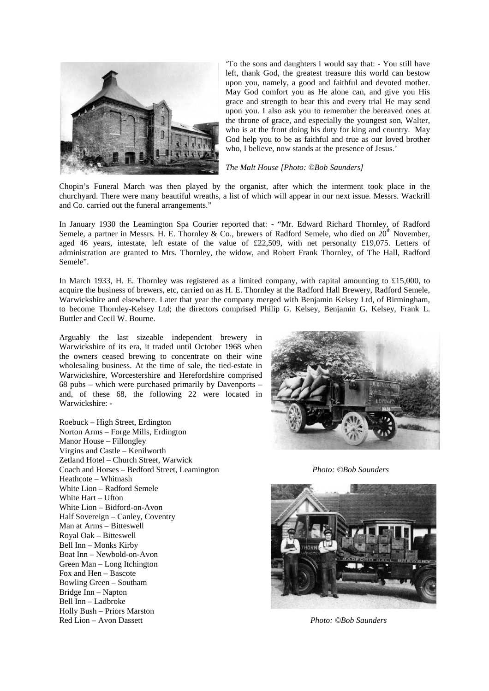

'To the sons and daughters I would say that: - You still have left, thank God, the greatest treasure this world can bestow upon you, namely, a good and faithful and devoted mother. May God comfort you as He alone can, and give you His grace and strength to bear this and every trial He may send upon you. I also ask you to remember the bereaved ones at the throne of grace, and especially the youngest son, Walter, who is at the front doing his duty for king and country. May God help you to be as faithful and true as our loved brother who, I believe, now stands at the presence of Jesus.'

#### *The Malt House [Photo: ©Bob Saunders]*

Chopin's Funeral March was then played by the organist, after which the interment took place in the churchyard. There were many beautiful wreaths, a list of which will appear in our next issue. Messrs. Wackrill and Co. carried out the funeral arrangements."

In January 1930 the Leamington Spa Courier reported that: - "Mr. Edward Richard Thornley, of Radford Semele, a partner in Messrs. H. E. Thornley & Co., brewers of Radford Semele, who died on  $20<sup>th</sup>$  November, aged 46 years, intestate, left estate of the value of £22,509, with net personalty £19,075. Letters of administration are granted to Mrs. Thornley, the widow, and Robert Frank Thornley, of The Hall, Radford Semele".

In March 1933, H. E. Thornley was registered as a limited company, with capital amounting to £15,000, to acquire the business of brewers, etc, carried on as H. E. Thornley at the Radford Hall Brewery, Radford Semele, Warwickshire and elsewhere. Later that year the company merged with Benjamin Kelsey Ltd, of Birmingham, to become Thornley-Kelsey Ltd; the directors comprised Philip G. Kelsey, Benjamin G. Kelsey, Frank L. Buttler and Cecil W. Bourne.

Arguably the last sizeable independent brewery in Warwickshire of its era, it traded until October 1968 when the owners ceased brewing to concentrate on their wine wholesaling business. At the time of sale, the tied-estate in Warwickshire, Worcestershire and Herefordshire comprised 68 pubs – which were purchased primarily by Davenports – and, of these 68, the following 22 were located in Warwickshire: -

Roebuck – High Street, Erdington Norton Arms – Forge Mills, Erdington Manor House – Fillongley Virgins and Castle – Kenilworth Zetland Hotel – Church Street, Warwick Coach and Horses – Bedford Street, Leamington *Photo: ©Bob Saunders* Heathcote – Whitnash White Lion – Radford Semele White Hart – Ufton White Lion – Bidford-on-Avon Half Sovereign – Canley, Coventry Man at Arms – Bitteswell Royal Oak – Bitteswell Bell Inn – Monks Kirby Boat Inn – Newbold-on-Avon Green Man – Long Itchington Fox and Hen – Bascote Bowling Green – Southam Bridge Inn – Napton Bell Inn – Ladbroke Holly Bush – Priors Marston Red Lion – Avon Dassett *Photo: ©Bob Saunders*



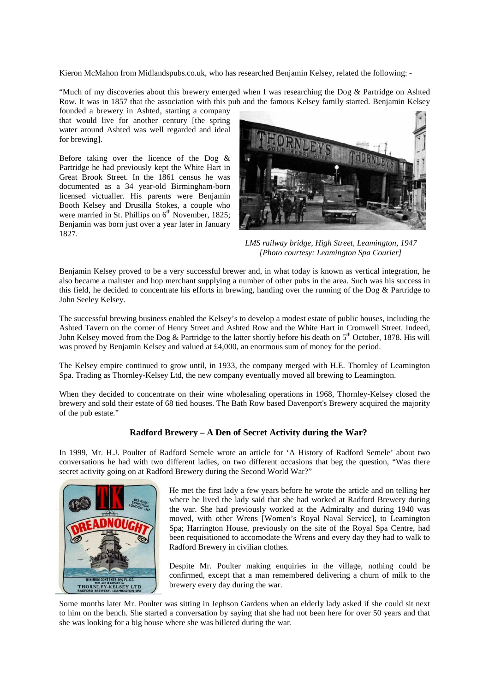Kieron McMahon from Midlandspubs.co.uk, who has researched Benjamin Kelsey, related the following: -

"Much of my discoveries about this brewery emerged when I was researching the Dog & Partridge on Ashted Row. It was in 1857 that the association with this pub and the famous Kelsey family started. Benjamin Kelsey

founded a brewery in Ashted, starting a company that would live for another century [the spring water around Ashted was well regarded and ideal for brewing].

Before taking over the licence of the Dog & Partridge he had previously kept the White Hart in Great Brook Street. In the 1861 census he was documented as a 34 year-old Birmingham-born licensed victualler. His parents were Benjamin Booth Kelsey and Drusilla Stokes, a couple who were married in St. Phillips on  $6<sup>th</sup>$  November, 1825; Benjamin was born just over a year later in January 1827.



 *LMS railway bridge, High Street, Leamington, 1947 [Photo courtesy: Leamington Spa Courier]* 

Benjamin Kelsey proved to be a very successful brewer and, in what today is known as vertical integration, he also became a maltster and hop merchant supplying a number of other pubs in the area. Such was his success in this field, he decided to concentrate his efforts in brewing, handing over the running of the Dog & Partridge to John Seeley Kelsey.

The successful brewing business enabled the Kelsey's to develop a modest estate of public houses, including the Ashted Tavern on the corner of Henry Street and Ashted Row and the White Hart in Cromwell Street. Indeed, John Kelsey moved from the Dog & Partridge to the latter shortly before his death on  $5<sup>th</sup>$  October, 1878. His will was proved by Benjamin Kelsey and valued at £4,000, an enormous sum of money for the period.

The Kelsey empire continued to grow until, in 1933, the company merged with H.E. Thornley of Leamington Spa. Trading as Thornley-Kelsey Ltd, the new company eventually moved all brewing to Leamington.

When they decided to concentrate on their wine wholesaling operations in 1968, Thornley-Kelsey closed the brewery and sold their estate of 68 tied houses. The Bath Row based Davenport's Brewery acquired the majority of the pub estate."

## **Radford Brewery – A Den of Secret Activity during the War?**

In 1999, Mr. H.J. Poulter of Radford Semele wrote an article for 'A History of Radford Semele' about two conversations he had with two different ladies, on two different occasions that beg the question, "Was there secret activity going on at Radford Brewery during the Second World War?"



He met the first lady a few years before he wrote the article and on telling her where he lived the lady said that she had worked at Radford Brewery during the war. She had previously worked at the Admiralty and during 1940 was moved, with other Wrens [Women's Royal Naval Service], to Leamington Spa; Harrington House, previously on the site of the Royal Spa Centre, had been requisitioned to accomodate the Wrens and every day they had to walk to Radford Brewery in civilian clothes.

Despite Mr. Poulter making enquiries in the village, nothing could be confirmed, except that a man remembered delivering a churn of milk to the brewery every day during the war.

Some months later Mr. Poulter was sitting in Jephson Gardens when an elderly lady asked if she could sit next to him on the bench. She started a conversation by saying that she had not been here for over 50 years and that she was looking for a big house where she was billeted during the war.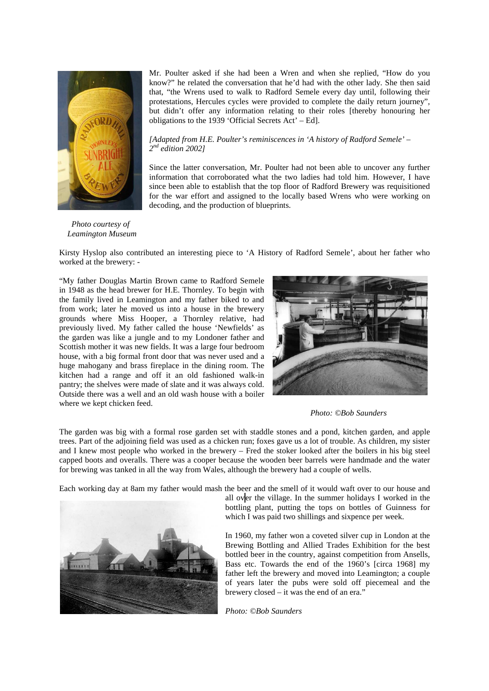

Mr. Poulter asked if she had been a Wren and when she replied, "How do you know?" he related the conversation that he'd had with the other lady. She then said that, "the Wrens used to walk to Radford Semele every day until, following their protestations, Hercules cycles were provided to complete the daily return journey", but didn't offer any information relating to their roles [thereby honouring her obligations to the 1939 'Official Secrets Act' – Ed].

#### *[Adapted from H.E. Poulter's reminiscences in 'A history of Radford Semele' – 2 nd edition 2002]*

Since the latter conversation, Mr. Poulter had not been able to uncover any further information that corroborated what the two ladies had told him. However, I have since been able to establish that the top floor of Radford Brewery was requisitioned for the war effort and assigned to the locally based Wrens who were working on decoding, and the production of blueprints.

 *Photo courtesy of Leamington Museum*

Kirsty Hyslop also contributed an interesting piece to 'A History of Radford Semele', about her father who worked at the brewery: -

"My father Douglas Martin Brown came to Radford Semele in 1948 as the head brewer for H.E. Thornley. To begin with the family lived in Leamington and my father biked to and from work; later he moved us into a house in the brewery grounds where Miss Hooper, a Thornley relative, had previously lived. My father called the house 'Newfields' as the garden was like a jungle and to my Londoner father and Scottish mother it was new fields. It was a large four bedroom house, with a big formal front door that was never used and a huge mahogany and brass fireplace in the dining room. The kitchen had a range and off it an old fashioned walk-in pantry; the shelves were made of slate and it was always cold. Outside there was a well and an old wash house with a boiler where we kept chicken feed.



*Photo: ©Bob Saunders*

The garden was big with a formal rose garden set with staddle stones and a pond, kitchen garden, and apple trees. Part of the adjoining field was used as a chicken run; foxes gave us a lot of trouble. As children, my sister and I knew most people who worked in the brewery – Fred the stoker looked after the boilers in his big steel capped boots and overalls. There was a cooper because the wooden beer barrels were handmade and the water for brewing was tanked in all the way from Wales, although the brewery had a couple of wells.

Each working day at 8am my father would mash the beer and the smell of it would waft over to our house and



all over the village. In the summer holidays I worked in the bottling plant, putting the tops on bottles of Guinness for which I was paid two shillings and sixpence per week.

In 1960, my father won a coveted silver cup in London at the Brewing Bottling and Allied Trades Exhibition for the best bottled beer in the country, against competition from Ansells, Bass etc. Towards the end of the 1960's [circa 1968] my father left the brewery and moved into Leamington; a couple of years later the pubs were sold off piecemeal and the brewery closed – it was the end of an era."

*Photo: ©Bob Saunders*